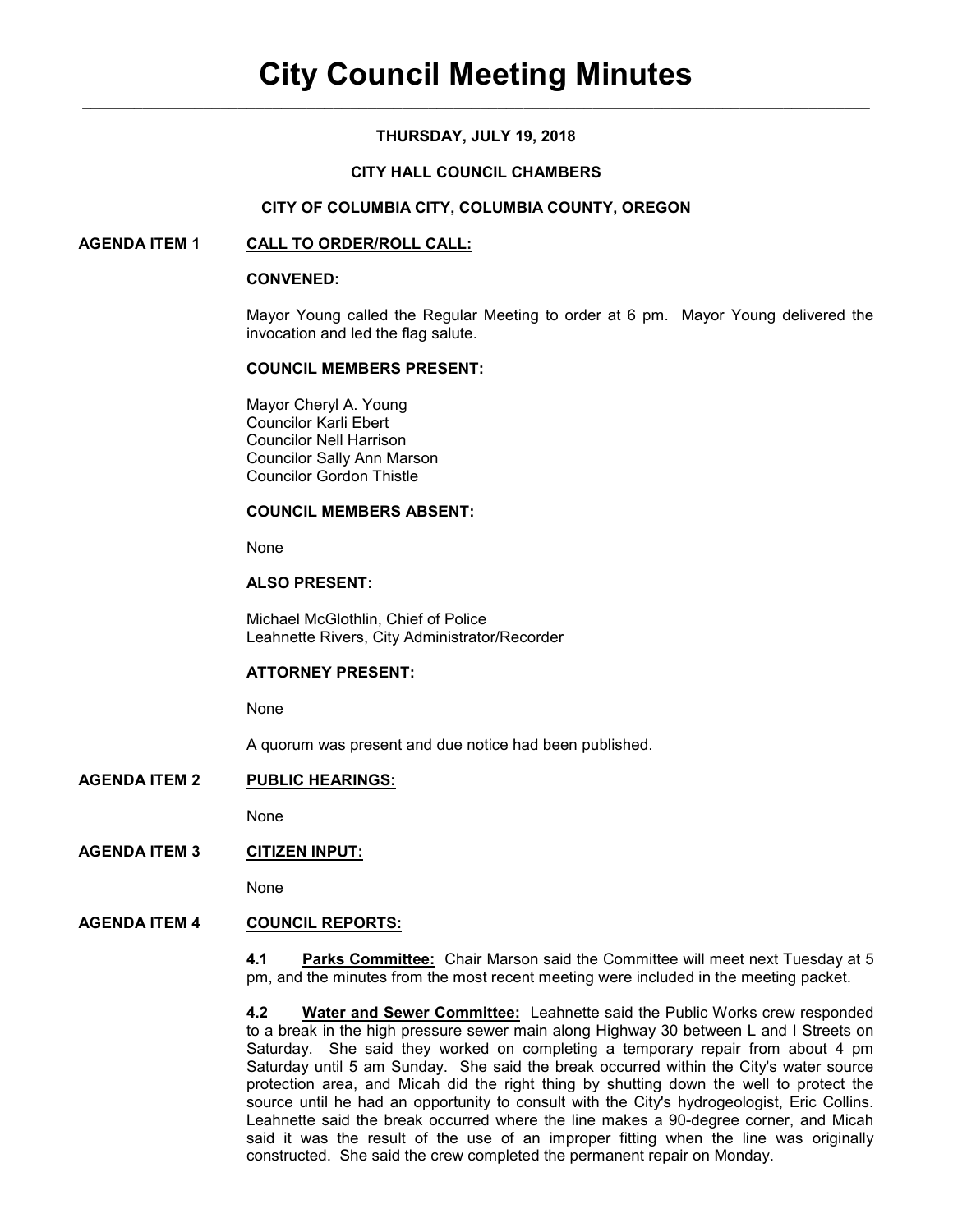## **THURSDAY, JULY 19, 2018**

### **CITY HALL COUNCIL CHAMBERS**

#### **CITY OF COLUMBIA CITY, COLUMBIA COUNTY, OREGON**

### **AGENDA ITEM 1 CALL TO ORDER/ROLL CALL:**

#### **CONVENED:**

Mayor Young called the Regular Meeting to order at 6 pm. Mayor Young delivered the invocation and led the flag salute.

### **COUNCIL MEMBERS PRESENT:**

 Mayor Cheryl A. Young Councilor Karli Ebert Councilor Nell Harrison Councilor Sally Ann Marson Councilor Gordon Thistle

### **COUNCIL MEMBERS ABSENT:**

None

### **ALSO PRESENT:**

Michael McGlothlin, Chief of Police Leahnette Rivers, City Administrator/Recorder

## **ATTORNEY PRESENT:**

None

A quorum was present and due notice had been published.

### **AGENDA ITEM 2 PUBLIC HEARINGS:**

None

## **AGENDA ITEM 3 CITIZEN INPUT:**

None

## **AGENDA ITEM 4 COUNCIL REPORTS:**

**4.1 Parks Committee:** Chair Marson said the Committee will meet next Tuesday at 5 pm, and the minutes from the most recent meeting were included in the meeting packet.

**4.2 Water and Sewer Committee:** Leahnette said the Public Works crew responded to a break in the high pressure sewer main along Highway 30 between L and I Streets on Saturday. She said they worked on completing a temporary repair from about 4 pm Saturday until 5 am Sunday. She said the break occurred within the City's water source protection area, and Micah did the right thing by shutting down the well to protect the source until he had an opportunity to consult with the City's hydrogeologist, Eric Collins. Leahnette said the break occurred where the line makes a 90-degree corner, and Micah said it was the result of the use of an improper fitting when the line was originally constructed. She said the crew completed the permanent repair on Monday.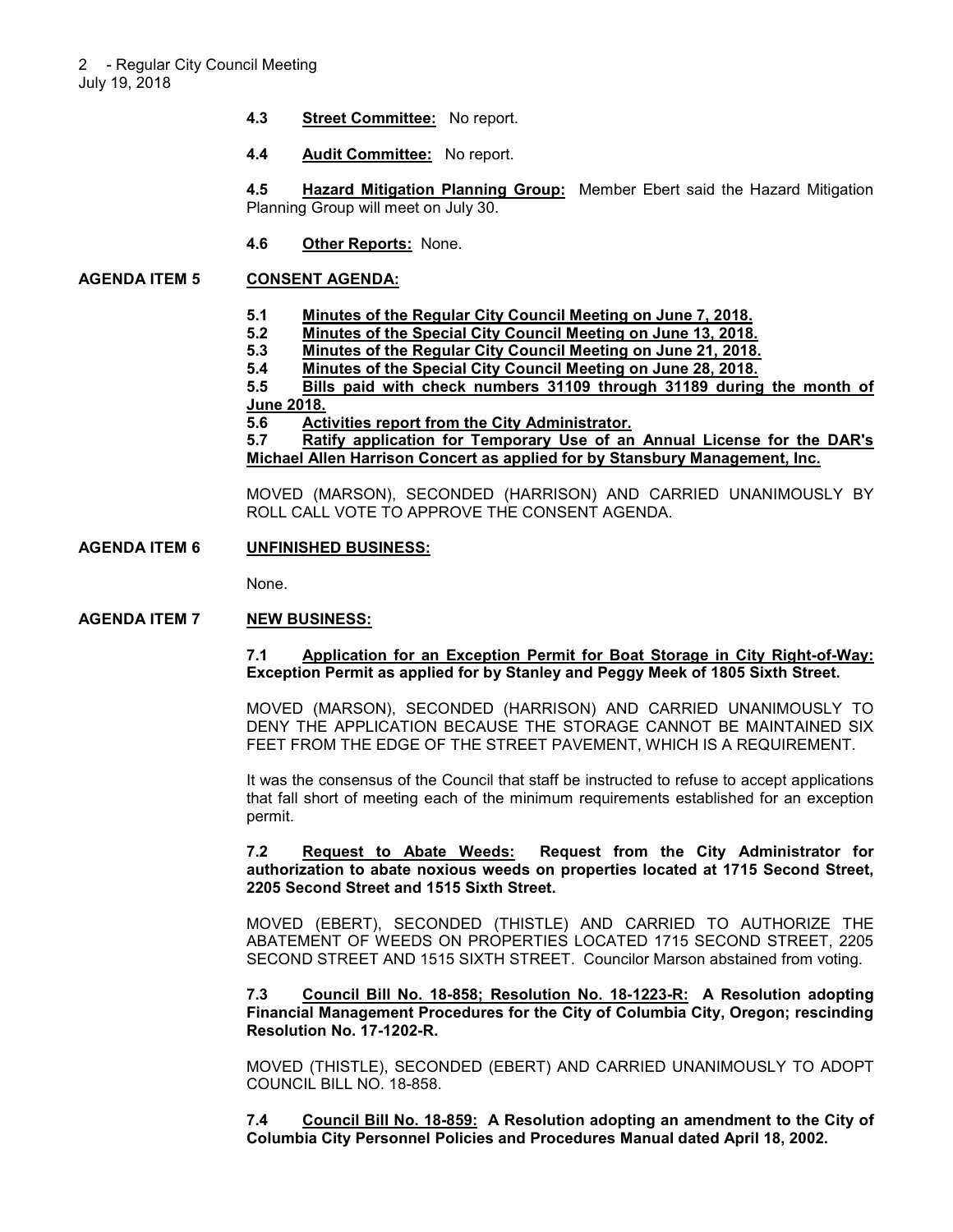- **4.3 Street Committee:** No report.
- **4.4 Audit Committee:** No report.

**4.5 Hazard Mitigation Planning Group:** Member Ebert said the Hazard Mitigation Planning Group will meet on July 30.

**4.6 Other Reports:** None.

### **AGENDA ITEM 5 CONSENT AGENDA:**

- **5.1 Minutes of the Regular City Council Meeting on June 7, 2018.**
- **5.2 Minutes of the Special City Council Meeting on June 13, 2018.**
- **5.3 Minutes of the Regular City Council Meeting on June 21, 2018.**
- **5.4 Minutes of the Special City Council Meeting on June 28, 2018.**

**5.5 Bills paid with check numbers 31109 through 31189 during the month of June 2018.**

**5.6 Activities report from the City Administrator.**

**5.7 Ratify application for Temporary Use of an Annual License for the DAR's Michael Allen Harrison Concert as applied for by Stansbury Management, Inc.**

MOVED (MARSON), SECONDED (HARRISON) AND CARRIED UNANIMOUSLY BY ROLL CALL VOTE TO APPROVE THE CONSENT AGENDA.

## **AGENDA ITEM 6 UNFINISHED BUSINESS:**

None.

### **AGENDA ITEM 7 NEW BUSINESS:**

### **7.1 Application for an Exception Permit for Boat Storage in City Right-of-Way: Exception Permit as applied for by Stanley and Peggy Meek of 1805 Sixth Street.**

MOVED (MARSON), SECONDED (HARRISON) AND CARRIED UNANIMOUSLY TO DENY THE APPLICATION BECAUSE THE STORAGE CANNOT BE MAINTAINED SIX FEET FROM THE EDGE OF THE STREET PAVEMENT, WHICH IS A REQUIREMENT.

It was the consensus of the Council that staff be instructed to refuse to accept applications that fall short of meeting each of the minimum requirements established for an exception permit.

#### **7.2 Request to Abate Weeds: Request from the City Administrator for authorization to abate noxious weeds on properties located at 1715 Second Street, 2205 Second Street and 1515 Sixth Street.**

MOVED (EBERT), SECONDED (THISTLE) AND CARRIED TO AUTHORIZE THE ABATEMENT OF WEEDS ON PROPERTIES LOCATED 1715 SECOND STREET, 2205 SECOND STREET AND 1515 SIXTH STREET. Councilor Marson abstained from voting.

**7.3 Council Bill No. 18-858; Resolution No. 18-1223-R: A Resolution adopting Financial Management Procedures for the City of Columbia City, Oregon; rescinding Resolution No. 17-1202-R.** 

MOVED (THISTLE), SECONDED (EBERT) AND CARRIED UNANIMOUSLY TO ADOPT COUNCIL BILL NO. 18-858.

**7.4 Council Bill No. 18-859: A Resolution adopting an amendment to the City of Columbia City Personnel Policies and Procedures Manual dated April 18, 2002.**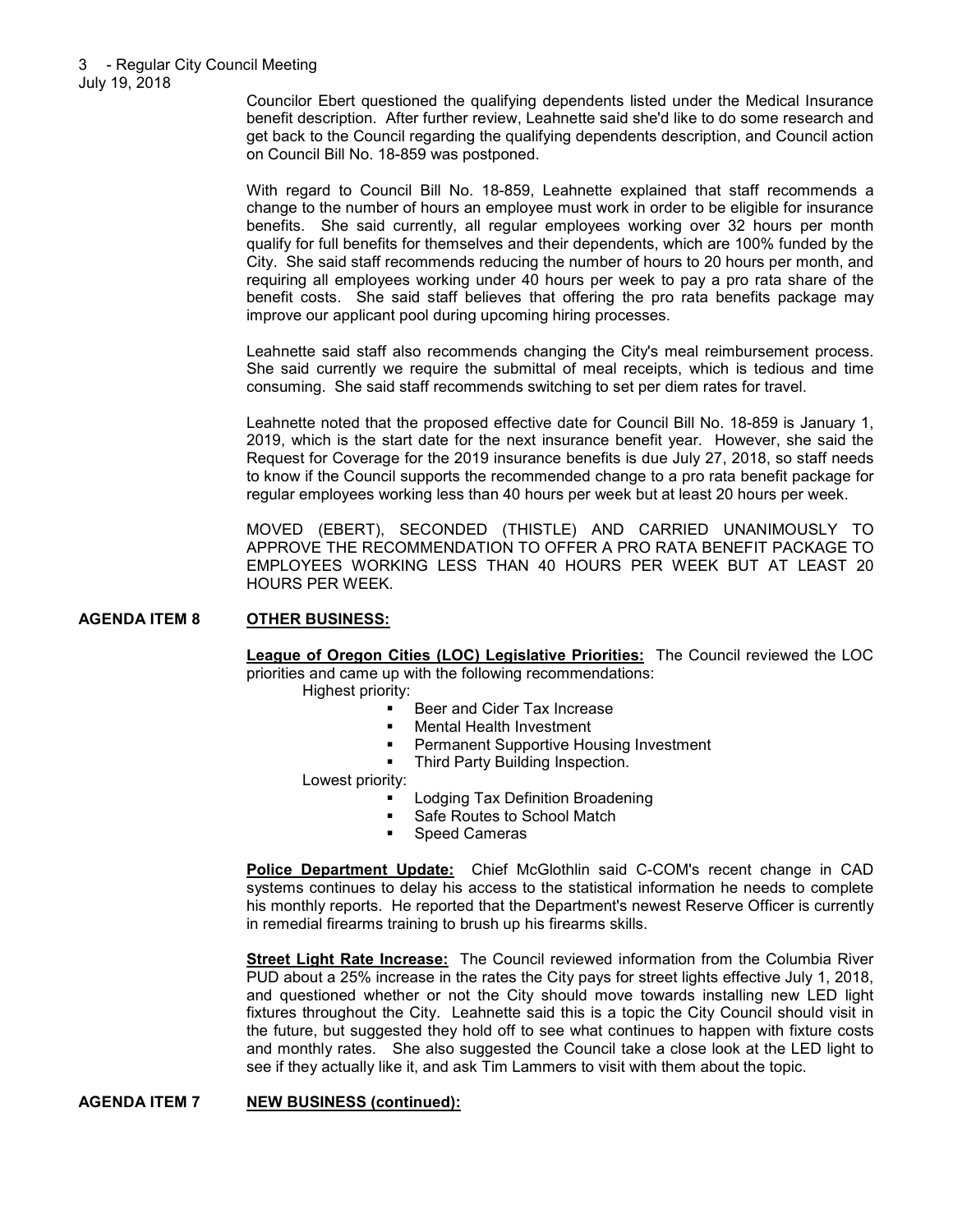Councilor Ebert questioned the qualifying dependents listed under the Medical Insurance benefit description. After further review, Leahnette said she'd like to do some research and get back to the Council regarding the qualifying dependents description, and Council action on Council Bill No. 18-859 was postponed.

With regard to Council Bill No. 18-859, Leahnette explained that staff recommends a change to the number of hours an employee must work in order to be eligible for insurance benefits. She said currently, all regular employees working over 32 hours per month qualify for full benefits for themselves and their dependents, which are 100% funded by the City. She said staff recommends reducing the number of hours to 20 hours per month, and requiring all employees working under 40 hours per week to pay a pro rata share of the benefit costs. She said staff believes that offering the pro rata benefits package may improve our applicant pool during upcoming hiring processes.

Leahnette said staff also recommends changing the City's meal reimbursement process. She said currently we require the submittal of meal receipts, which is tedious and time consuming. She said staff recommends switching to set per diem rates for travel.

Leahnette noted that the proposed effective date for Council Bill No. 18-859 is January 1, 2019, which is the start date for the next insurance benefit year. However, she said the Request for Coverage for the 2019 insurance benefits is due July 27, 2018, so staff needs to know if the Council supports the recommended change to a pro rata benefit package for regular employees working less than 40 hours per week but at least 20 hours per week.

MOVED (EBERT), SECONDED (THISTLE) AND CARRIED UNANIMOUSLY TO APPROVE THE RECOMMENDATION TO OFFER A PRO RATA BENEFIT PACKAGE TO EMPLOYEES WORKING LESS THAN 40 HOURS PER WEEK BUT AT LEAST 20 HOURS PER WEEK.

### **AGENDA ITEM 8 OTHER BUSINESS:**

**League of Oregon Cities (LOC) Legislative Priorities:** The Council reviewed the LOC priorities and came up with the following recommendations: Highest priority:

- Beer and Cider Tax Increase
- **Nental Health Investment**
- Permanent Supportive Housing Investment
- Third Party Building Inspection.

Lowest priority:

- Lodging Tax Definition Broadening
- Safe Routes to School Match<br>Speed Cameras
- Speed Cameras

**Police Department Update:** Chief McGlothlin said C-COM's recent change in CAD systems continues to delay his access to the statistical information he needs to complete his monthly reports. He reported that the Department's newest Reserve Officer is currently in remedial firearms training to brush up his firearms skills.

**Street Light Rate Increase:** The Council reviewed information from the Columbia River PUD about a 25% increase in the rates the City pays for street lights effective July 1, 2018, and questioned whether or not the City should move towards installing new LED light fixtures throughout the City. Leahnette said this is a topic the City Council should visit in the future, but suggested they hold off to see what continues to happen with fixture costs and monthly rates. She also suggested the Council take a close look at the LED light to see if they actually like it, and ask Tim Lammers to visit with them about the topic.

**AGENDA ITEM 7 NEW BUSINESS (continued):**